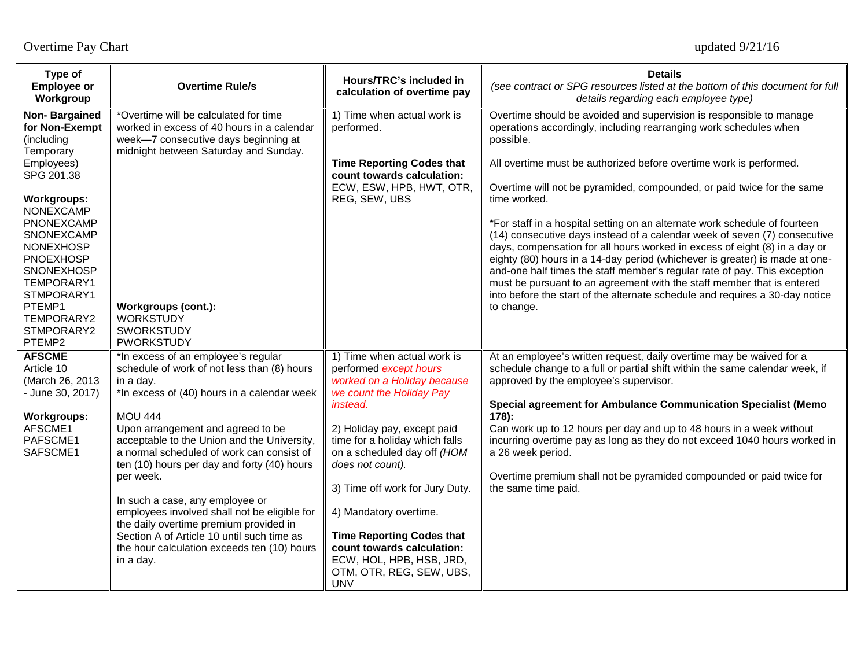| Type of<br><b>Employee or</b><br>Workgroup                                                                        | <b>Overtime Rule/s</b>                                                                                                                                                                    | Hours/TRC's included in<br>calculation of overtime pay                                                                               | <b>Details</b><br>(see contract or SPG resources listed at the bottom of this document for full<br>details regarding each employee type)                                                                                                                                                                                                                                                                                                                                                                                                                    |
|-------------------------------------------------------------------------------------------------------------------|-------------------------------------------------------------------------------------------------------------------------------------------------------------------------------------------|--------------------------------------------------------------------------------------------------------------------------------------|-------------------------------------------------------------------------------------------------------------------------------------------------------------------------------------------------------------------------------------------------------------------------------------------------------------------------------------------------------------------------------------------------------------------------------------------------------------------------------------------------------------------------------------------------------------|
| Non-Bargained<br>for Non-Exempt<br>(including<br>Temporary                                                        | *Overtime will be calculated for time<br>worked in excess of 40 hours in a calendar<br>week-7 consecutive days beginning at<br>midnight between Saturday and Sunday.                      | 1) Time when actual work is<br>performed.                                                                                            | Overtime should be avoided and supervision is responsible to manage<br>operations accordingly, including rearranging work schedules when<br>possible.                                                                                                                                                                                                                                                                                                                                                                                                       |
| Employees)<br>SPG 201.38                                                                                          |                                                                                                                                                                                           | <b>Time Reporting Codes that</b><br>count towards calculation:                                                                       | All overtime must be authorized before overtime work is performed.                                                                                                                                                                                                                                                                                                                                                                                                                                                                                          |
| <b>Workgroups:</b><br>NONEXCAMP                                                                                   |                                                                                                                                                                                           | ECW, ESW, HPB, HWT, OTR,<br>REG, SEW, UBS                                                                                            | Overtime will not be pyramided, compounded, or paid twice for the same<br>time worked.                                                                                                                                                                                                                                                                                                                                                                                                                                                                      |
| PNONEXCAMP<br>SNONEXCAMP<br><b>NONEXHOSP</b><br><b>PNOEXHOSP</b><br><b>SNONEXHOSP</b><br>TEMPORARY1<br>STMPORARY1 |                                                                                                                                                                                           |                                                                                                                                      | *For staff in a hospital setting on an alternate work schedule of fourteen<br>(14) consecutive days instead of a calendar week of seven (7) consecutive<br>days, compensation for all hours worked in excess of eight (8) in a day or<br>eighty (80) hours in a 14-day period (whichever is greater) is made at one-<br>and-one half times the staff member's regular rate of pay. This exception<br>must be pursuant to an agreement with the staff member that is entered<br>into before the start of the alternate schedule and requires a 30-day notice |
| PTEMP1<br>TEMPORARY2<br>STMPORARY2<br>PTEMP2                                                                      | Workgroups (cont.):<br><b>WORKSTUDY</b><br><b>SWORKSTUDY</b><br><b>PWORKSTUDY</b>                                                                                                         |                                                                                                                                      | to change.                                                                                                                                                                                                                                                                                                                                                                                                                                                                                                                                                  |
| <b>AFSCME</b><br>Article 10<br>(March 26, 2013<br>- June 30, 2017)                                                | *In excess of an employee's regular<br>schedule of work of not less than (8) hours<br>in a day.<br>*In excess of (40) hours in a calendar week                                            | 1) Time when actual work is<br>performed except hours<br>worked on a Holiday because<br>we count the Holiday Pay                     | At an employee's written request, daily overtime may be waived for a<br>schedule change to a full or partial shift within the same calendar week, if<br>approved by the employee's supervisor.                                                                                                                                                                                                                                                                                                                                                              |
| <b>Workgroups:</b>                                                                                                | <b>MOU 444</b>                                                                                                                                                                            | <i>instead.</i>                                                                                                                      | <b>Special agreement for Ambulance Communication Specialist (Memo</b><br>$178$ ):                                                                                                                                                                                                                                                                                                                                                                                                                                                                           |
| AFSCME1<br>PAFSCME1<br>SAFSCME1                                                                                   | Upon arrangement and agreed to be<br>acceptable to the Union and the University,<br>a normal scheduled of work can consist of<br>ten (10) hours per day and forty (40) hours<br>per week. | 2) Holiday pay, except paid<br>time for a holiday which falls<br>on a scheduled day off (HOM<br>does not count).                     | Can work up to 12 hours per day and up to 48 hours in a week without<br>incurring overtime pay as long as they do not exceed 1040 hours worked in<br>a 26 week period.<br>Overtime premium shall not be pyramided compounded or paid twice for                                                                                                                                                                                                                                                                                                              |
|                                                                                                                   |                                                                                                                                                                                           | 3) Time off work for Jury Duty.                                                                                                      | the same time paid.                                                                                                                                                                                                                                                                                                                                                                                                                                                                                                                                         |
|                                                                                                                   | In such a case, any employee or<br>employees involved shall not be eligible for<br>the daily overtime premium provided in                                                                 | 4) Mandatory overtime.                                                                                                               |                                                                                                                                                                                                                                                                                                                                                                                                                                                                                                                                                             |
|                                                                                                                   | Section A of Article 10 until such time as<br>the hour calculation exceeds ten (10) hours<br>in a day.                                                                                    | <b>Time Reporting Codes that</b><br>count towards calculation:<br>ECW, HOL, HPB, HSB, JRD,<br>OTM, OTR, REG, SEW, UBS,<br><b>UNV</b> |                                                                                                                                                                                                                                                                                                                                                                                                                                                                                                                                                             |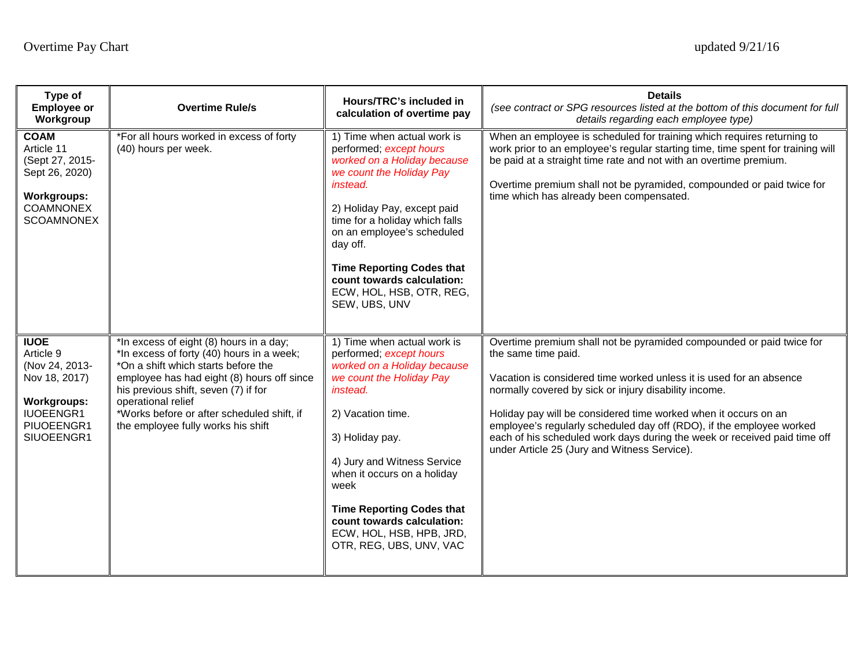| Type of<br><b>Employee or</b><br>Workgroup                                                                                        | <b>Overtime Rule/s</b>                                                                                                                                                                                                                                                                                                      | Hours/TRC's included in<br>calculation of overtime pay                                                                                                                                                                                                                                                                                                               | <b>Details</b><br>(see contract or SPG resources listed at the bottom of this document for full<br>details regarding each employee type)                                                                                                                                                                                                                                                                                                                                                            |
|-----------------------------------------------------------------------------------------------------------------------------------|-----------------------------------------------------------------------------------------------------------------------------------------------------------------------------------------------------------------------------------------------------------------------------------------------------------------------------|----------------------------------------------------------------------------------------------------------------------------------------------------------------------------------------------------------------------------------------------------------------------------------------------------------------------------------------------------------------------|-----------------------------------------------------------------------------------------------------------------------------------------------------------------------------------------------------------------------------------------------------------------------------------------------------------------------------------------------------------------------------------------------------------------------------------------------------------------------------------------------------|
| <b>COAM</b><br>Article 11<br>(Sept 27, 2015-<br>Sept 26, 2020)<br><b>Workgroups:</b><br><b>COAMNONEX</b><br><b>SCOAMNONEX</b>     | *For all hours worked in excess of forty<br>(40) hours per week.                                                                                                                                                                                                                                                            | 1) Time when actual work is<br>performed; except hours<br>worked on a Holiday because<br>we count the Holiday Pay<br>instead.<br>2) Holiday Pay, except paid<br>time for a holiday which falls<br>on an employee's scheduled<br>day off.<br><b>Time Reporting Codes that</b><br>count towards calculation:<br>ECW, HOL, HSB, OTR, REG,<br>SEW, UBS, UNV              | When an employee is scheduled for training which requires returning to<br>work prior to an employee's regular starting time, time spent for training will<br>be paid at a straight time rate and not with an overtime premium.<br>Overtime premium shall not be pyramided, compounded or paid twice for<br>time which has already been compensated.                                                                                                                                                 |
| <b>IUOE</b><br>Article 9<br>(Nov 24, 2013-<br>Nov 18, 2017)<br><b>Workgroups:</b><br><b>IUOEENGR1</b><br>PIUOEENGR1<br>SIUOEENGR1 | *In excess of eight (8) hours in a day;<br>*In excess of forty (40) hours in a week;<br>*On a shift which starts before the<br>employee has had eight (8) hours off since<br>his previous shift, seven (7) if for<br>operational relief<br>*Works before or after scheduled shift, if<br>the employee fully works his shift | 1) Time when actual work is<br>performed; except hours<br>worked on a Holiday because<br>we count the Holiday Pay<br>instead.<br>2) Vacation time.<br>3) Holiday pay.<br>4) Jury and Witness Service<br>when it occurs on a holiday<br>week<br><b>Time Reporting Codes that</b><br>count towards calculation:<br>ECW, HOL, HSB, HPB, JRD,<br>OTR, REG, UBS, UNV, VAC | Overtime premium shall not be pyramided compounded or paid twice for<br>the same time paid.<br>Vacation is considered time worked unless it is used for an absence<br>normally covered by sick or injury disability income.<br>Holiday pay will be considered time worked when it occurs on an<br>employee's regularly scheduled day off (RDO), if the employee worked<br>each of his scheduled work days during the week or received paid time off<br>under Article 25 (Jury and Witness Service). |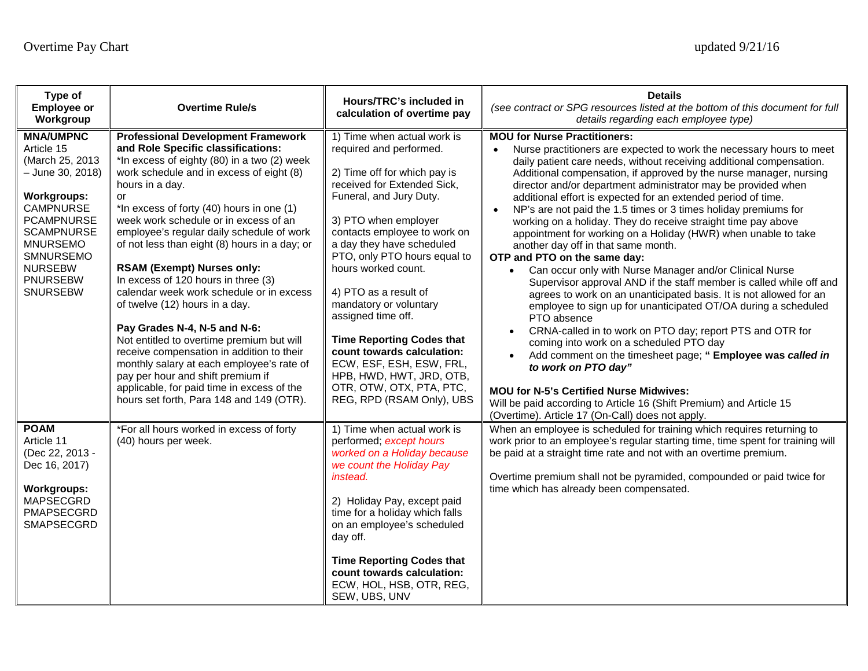| Type of<br><b>Employee or</b><br>Workgroup                                                                                                                                                                                                 | <b>Overtime Rule/s</b>                                                                                                                                                                                                                                                                                                                                                                                                                                                                                                                                                                                                                                                                                                                                                                                                                                  | Hours/TRC's included in<br>calculation of overtime pay                                                                                                                                                                                                                                                                                                                                                                                                                                                                                                   | <b>Details</b><br>(see contract or SPG resources listed at the bottom of this document for full<br>details regarding each employee type)                                                                                                                                                                                                                                                                                                                                                                                                                                                                                                                                                                                                                                                                                                                                                                                                                                                                                                                                                                                                                                                                                                                                                                                                                                                        |
|--------------------------------------------------------------------------------------------------------------------------------------------------------------------------------------------------------------------------------------------|---------------------------------------------------------------------------------------------------------------------------------------------------------------------------------------------------------------------------------------------------------------------------------------------------------------------------------------------------------------------------------------------------------------------------------------------------------------------------------------------------------------------------------------------------------------------------------------------------------------------------------------------------------------------------------------------------------------------------------------------------------------------------------------------------------------------------------------------------------|----------------------------------------------------------------------------------------------------------------------------------------------------------------------------------------------------------------------------------------------------------------------------------------------------------------------------------------------------------------------------------------------------------------------------------------------------------------------------------------------------------------------------------------------------------|-------------------------------------------------------------------------------------------------------------------------------------------------------------------------------------------------------------------------------------------------------------------------------------------------------------------------------------------------------------------------------------------------------------------------------------------------------------------------------------------------------------------------------------------------------------------------------------------------------------------------------------------------------------------------------------------------------------------------------------------------------------------------------------------------------------------------------------------------------------------------------------------------------------------------------------------------------------------------------------------------------------------------------------------------------------------------------------------------------------------------------------------------------------------------------------------------------------------------------------------------------------------------------------------------------------------------------------------------------------------------------------------------|
| <b>MNA/UMPNC</b><br>Article 15<br>(March 25, 2013<br>- June 30, 2018)<br><b>Workgroups:</b><br><b>CAMPNURSE</b><br><b>PCAMPNURSE</b><br><b>SCAMPNURSE</b><br><b>MNURSEMO</b><br>SMNURSEMO<br><b>NURSEBW</b><br><b>PNURSEBW</b><br>SNURSEBW | <b>Professional Development Framework</b><br>and Role Specific classifications:<br>*In excess of eighty (80) in a two (2) week<br>work schedule and in excess of eight (8)<br>hours in a day.<br>or<br>*In excess of forty (40) hours in one (1)<br>week work schedule or in excess of an<br>employee's regular daily schedule of work<br>of not less than eight (8) hours in a day; or<br><b>RSAM (Exempt) Nurses only:</b><br>In excess of 120 hours in three (3)<br>calendar week work schedule or in excess<br>of twelve (12) hours in a day.<br>Pay Grades N-4, N-5 and N-6:<br>Not entitled to overtime premium but will<br>receive compensation in addition to their<br>monthly salary at each employee's rate of<br>pay per hour and shift premium if<br>applicable, for paid time in excess of the<br>hours set forth, Para 148 and 149 (OTR). | 1) Time when actual work is<br>required and performed.<br>2) Time off for which pay is<br>received for Extended Sick,<br>Funeral, and Jury Duty.<br>3) PTO when employer<br>contacts employee to work on<br>a day they have scheduled<br>PTO, only PTO hours equal to<br>hours worked count.<br>4) PTO as a result of<br>mandatory or voluntary<br>assigned time off.<br><b>Time Reporting Codes that</b><br>count towards calculation:<br>ECW, ESF, ESH, ESW, FRL,<br>HPB, HWD, HWT, JRD, OTB,<br>OTR, OTW, OTX, PTA, PTC,<br>REG, RPD (RSAM Only), UBS | <b>MOU for Nurse Practitioners:</b><br>Nurse practitioners are expected to work the necessary hours to meet<br>$\bullet$<br>daily patient care needs, without receiving additional compensation.<br>Additional compensation, if approved by the nurse manager, nursing<br>director and/or department administrator may be provided when<br>additional effort is expected for an extended period of time.<br>NP's are not paid the 1.5 times or 3 times holiday premiums for<br>working on a holiday. They do receive straight time pay above<br>appointment for working on a Holiday (HWR) when unable to take<br>another day off in that same month.<br>OTP and PTO on the same day:<br>Can occur only with Nurse Manager and/or Clinical Nurse<br>$\bullet$<br>Supervisor approval AND if the staff member is called while off and<br>agrees to work on an unanticipated basis. It is not allowed for an<br>employee to sign up for unanticipated OT/OA during a scheduled<br>PTO absence<br>CRNA-called in to work on PTO day; report PTS and OTR for<br>$\bullet$<br>coming into work on a scheduled PTO day<br>Add comment on the timesheet page; "Employee was called in<br>$\bullet$<br>to work on PTO day"<br><b>MOU for N-5's Certified Nurse Midwives:</b><br>Will be paid according to Article 16 (Shift Premium) and Article 15<br>(Overtime). Article 17 (On-Call) does not apply. |
| <b>POAM</b><br>Article 11<br>(Dec 22, 2013 -<br>Dec 16, 2017)<br><b>Workgroups:</b><br><b>MAPSECGRD</b><br>PMAPSECGRD<br>SMAPSECGRD                                                                                                        | *For all hours worked in excess of forty<br>(40) hours per week.                                                                                                                                                                                                                                                                                                                                                                                                                                                                                                                                                                                                                                                                                                                                                                                        | 1) Time when actual work is<br>performed; except hours<br>worked on a Holiday because<br>we count the Holiday Pay<br><i>instead.</i><br>2) Holiday Pay, except paid<br>time for a holiday which falls<br>on an employee's scheduled<br>day off.<br><b>Time Reporting Codes that</b><br>count towards calculation:<br>ECW, HOL, HSB, OTR, REG,<br>SEW, UBS, UNV                                                                                                                                                                                           | When an employee is scheduled for training which requires returning to<br>work prior to an employee's regular starting time, time spent for training will<br>be paid at a straight time rate and not with an overtime premium.<br>Overtime premium shall not be pyramided, compounded or paid twice for<br>time which has already been compensated.                                                                                                                                                                                                                                                                                                                                                                                                                                                                                                                                                                                                                                                                                                                                                                                                                                                                                                                                                                                                                                             |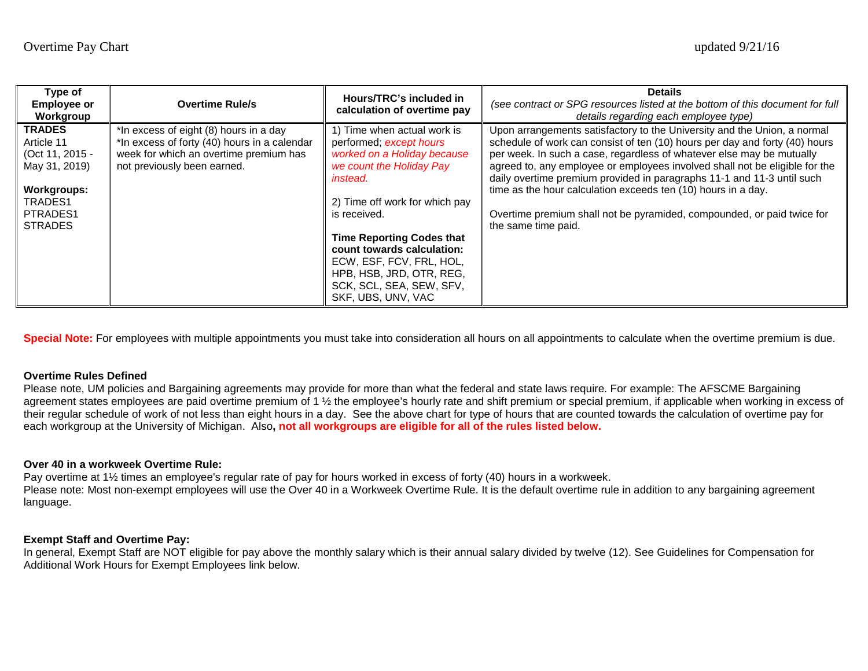| Type of<br><b>Employee or</b><br>Workgroup | <b>Overtime Rule/s</b>                       | Hours/TRC's included in<br>calculation of overtime pay | <b>Details</b><br>(see contract or SPG resources listed at the bottom of this document for full<br>details regarding each employee type)              |
|--------------------------------------------|----------------------------------------------|--------------------------------------------------------|-------------------------------------------------------------------------------------------------------------------------------------------------------|
| <b>TRADES</b>                              | *In excess of eight (8) hours in a day       | 1) Time when actual work is                            | Upon arrangements satisfactory to the University and the Union, a normal                                                                              |
| Article 11                                 | *In excess of forty (40) hours in a calendar | performed; except hours                                | schedule of work can consist of ten (10) hours per day and forty (40) hours                                                                           |
| (Oct 11, 2015 -                            | week for which an overtime premium has       | worked on a Holiday because                            | per week. In such a case, regardless of whatever else may be mutually                                                                                 |
| May 31, 2019)                              | not previously been earned.                  | we count the Holiday Pay<br><i>instead.</i>            | agreed to, any employee or employees involved shall not be eligible for the<br>daily overtime premium provided in paragraphs 11-1 and 11-3 until such |
| Workgroups:                                |                                              |                                                        | time as the hour calculation exceeds ten (10) hours in a day.                                                                                         |
| TRADES1                                    |                                              | 2) Time off work for which pay                         |                                                                                                                                                       |
| PTRADES1<br><b>STRADES</b>                 |                                              | is received.                                           | Overtime premium shall not be pyramided, compounded, or paid twice for<br>the same time paid.                                                         |
|                                            |                                              | <b>Time Reporting Codes that</b>                       |                                                                                                                                                       |
|                                            |                                              | count towards calculation:                             |                                                                                                                                                       |
|                                            |                                              | ECW, ESF, FCV, FRL, HOL,                               |                                                                                                                                                       |
|                                            |                                              | HPB, HSB, JRD, OTR, REG,                               |                                                                                                                                                       |
|                                            |                                              | SCK, SCL, SEA, SEW, SFV,                               |                                                                                                                                                       |
|                                            |                                              | SKF, UBS, UNV, VAC                                     |                                                                                                                                                       |

Special Note: For employees with multiple appointments you must take into consideration all hours on all appointments to calculate when the overtime premium is due.

## **Overtime Rules Defined**

Please note, UM policies and Bargaining agreements may provide for more than what the federal and state laws require. For example: The AFSCME Bargaining agreement states employees are paid overtime premium of 1 ½ the employee's hourly rate and shift premium or special premium, if applicable when working in excess of their regular schedule of work of not less than eight hours in a day. See the above chart for type of hours that are counted towards the calculation of overtime pay for each workgroup at the University of Michigan. Also**, not all workgroups are eligible for all of the rules listed below.**

## **Over 40 in a workweek Overtime Rule:**

Pay overtime at 1½ times an employee's regular rate of pay for hours worked in excess of forty (40) hours in a workweek. Please note: Most non-exempt employees will use the Over 40 in a Workweek Overtime Rule. It is the default overtime rule in addition to any bargaining agreement language.

## **Exempt Staff and Overtime Pay:**

In general, Exempt Staff are NOT eligible for pay above the monthly salary which is their annual salary divided by twelve (12). See Guidelines for Compensation for Additional Work Hours for Exempt Employees link below.